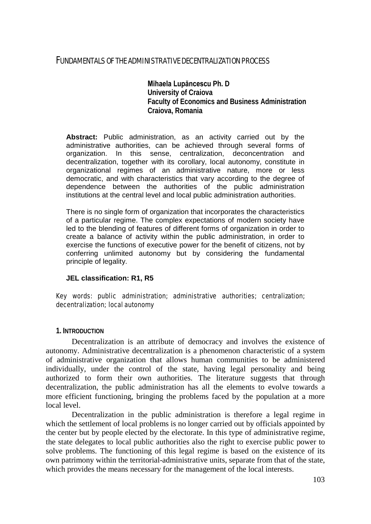# FUNDAMENTALS OF THE ADMINISTRATIVE DECENTRALIZATION PROCESS

**Mihaela Lupăncescu Ph. D University of Craiova Faculty of Economics and Business Administration Craiova, Romania** 

**Abstract:** Public administration, as an activity carried out by the administrative authorities, can be achieved through several forms of organization. In this sense, centralization, deconcentration and decentralization, together with its corollary, local autonomy, constitute in organizational regimes of an administrative nature, more or less democratic, and with characteristics that vary according to the degree of dependence between the authorities of the public administration institutions at the central level and local public administration authorities.

There is no single form of organization that incorporates the characteristics of a particular regime. The complex expectations of modern society have led to the blending of features of different forms of organization in order to create a balance of activity within the public administration, in order to exercise the functions of executive power for the benefit of citizens, not by conferring unlimited autonomy but by considering the fundamental principle of legality.

#### **JEL classification: R1, R5**

## Key words: public administration; administrative authorities; centralization; decentralization; local autonomy

#### **1. INTRODUCTION**

Decentralization is an attribute of democracy and involves the existence of autonomy. Administrative decentralization is a phenomenon characteristic of a system of administrative organization that allows human communities to be administered individually, under the control of the state, having legal personality and being authorized to form their own authorities. The literature suggests that through decentralization, the public administration has all the elements to evolve towards a more efficient functioning, bringing the problems faced by the population at a more local level.

Decentralization in the public administration is therefore a legal regime in which the settlement of local problems is no longer carried out by officials appointed by the center but by people elected by the electorate. In this type of administrative regime, the state delegates to local public authorities also the right to exercise public power to solve problems. The functioning of this legal regime is based on the existence of its own patrimony within the territorial-administrative units, separate from that of the state, which provides the means necessary for the management of the local interests.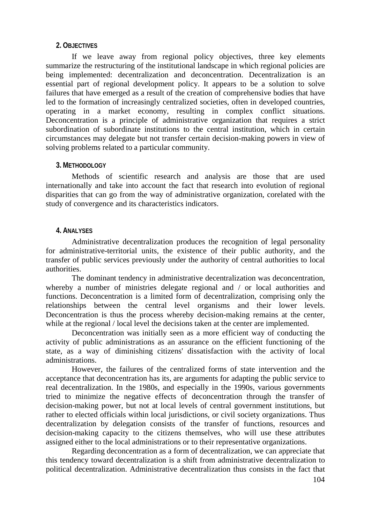# **2. OBJECTIVES**

If we leave away from regional policy objectives, three key elements summarize the restructuring of the institutional landscape in which regional policies are being implemented: decentralization and deconcentration. Decentralization is an essential part of regional development policy. It appears to be a solution to solve failures that have emerged as a result of the creation of comprehensive bodies that have led to the formation of increasingly centralized societies, often in developed countries, operating in a market economy, resulting in complex conflict situations. Deconcentration is a principle of administrative organization that requires a strict subordination of subordinate institutions to the central institution, which in certain circumstances may delegate but not transfer certain decision-making powers in view of solving problems related to a particular community.

# **3. METHODOLOGY**

Methods of scientific research and analysis are those that are used internationally and take into account the fact that research into evolution of regional disparities that can go from the way of administrative organization, corelated with the study of convergence and its characteristics indicators.

## **4. ANALYSES**

Administrative decentralization produces the recognition of legal personality for administrative-territorial units, the existence of their public authority, and the transfer of public services previously under the authority of central authorities to local authorities.

The dominant tendency in administrative decentralization was deconcentration, whereby a number of ministries delegate regional and / or local authorities and functions. Deconcentration is a limited form of decentralization, comprising only the relationships between the central level organisms and their lower levels. Deconcentration is thus the process whereby decision-making remains at the center, while at the regional / local level the decisions taken at the center are implemented.

Deconcentration was initially seen as a more efficient way of conducting the activity of public administrations as an assurance on the efficient functioning of the state, as a way of diminishing citizens' dissatisfaction with the activity of local administrations.

However, the failures of the centralized forms of state intervention and the acceptance that deconcentration has its, are arguments for adapting the public service to real decentralization. In the 1980s, and especially in the 1990s, various governments tried to minimize the negative effects of deconcentration through the transfer of decision-making power, but not at local levels of central government institutions, but rather to elected officials within local jurisdictions, or civil society organizations. Thus decentralization by delegation consists of the transfer of functions, resources and decision-making capacity to the citizens themselves, who will use these attributes assigned either to the local administrations or to their representative organizations.

Regarding deconcentration as a form of decentralization, we can appreciate that this tendency toward decentralization is a shift from administrative decentralization to political decentralization. Administrative decentralization thus consists in the fact that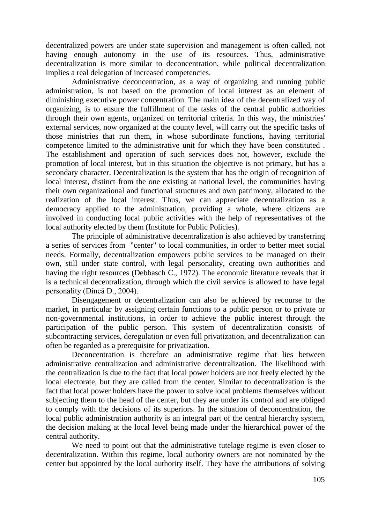decentralized powers are under state supervision and management is often called, not having enough autonomy in the use of its resources. Thus, administrative decentralization is more similar to deconcentration, while political decentralization implies a real delegation of increased competencies.

Administrative deconcentration, as a way of organizing and running public administration, is not based on the promotion of local interest as an element of diminishing executive power concentration. The main idea of the decentralized way of organizing, is to ensure the fulfillment of the tasks of the central public authorities through their own agents, organized on territorial criteria. In this way, the ministries' external services, now organized at the county level, will carry out the specific tasks of those ministries that run them, in whose subordinate functions, having territorial competence limited to the administrative unit for which they have been constituted . The establishment and operation of such services does not, however, exclude the promotion of local interest, but in this situation the objective is not primary, but has a secondary character. Decentralization is the system that has the origin of recognition of local interest, distinct from the one existing at national level, the communities having their own organizational and functional structures and own patrimony, allocated to the realization of the local interest. Thus, we can appreciate decentralization as a democracy applied to the administration, providing a whole, where citizens are involved in conducting local public activities with the help of representatives of the local authority elected by them (Institute for Public Policies).

The principle of administrative decentralization is also achieved by transferring a series of services from "center" to local communities, in order to better meet social needs. Formally, decentralization empowers public services to be managed on their own, still under state control, with legal personality, creating own authorities and having the right resources (Debbasch C., 1972). The economic literature reveals that it is a technical decentralization, through which the civil service is allowed to have legal personality (Dincă D., 2004).

Disengagement or decentralization can also be achieved by recourse to the market, in particular by assigning certain functions to a public person or to private or non-governmental institutions, in order to achieve the public interest through the participation of the public person. This system of decentralization consists of subcontracting services, deregulation or even full privatization, and decentralization can often be regarded as a prerequisite for privatization.

Deconcentration is therefore an administrative regime that lies between administrative centralization and administrative decentralization. The likelihood with the centralization is due to the fact that local power holders are not freely elected by the local electorate, but they are called from the center. Similar to decentralization is the fact that local power holders have the power to solve local problems themselves without subjecting them to the head of the center, but they are under its control and are obliged to comply with the decisions of its superiors. In the situation of deconcentration, the local public administration authority is an integral part of the central hierarchy system, the decision making at the local level being made under the hierarchical power of the central authority.

We need to point out that the administrative tutelage regime is even closer to decentralization. Within this regime, local authority owners are not nominated by the center but appointed by the local authority itself. They have the attributions of solving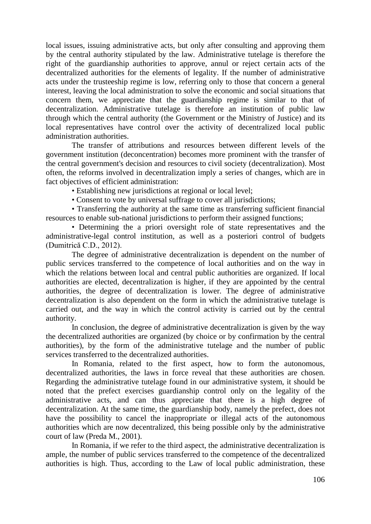local issues, issuing administrative acts, but only after consulting and approving them by the central authority stipulated by the law. Administrative tutelage is therefore the right of the guardianship authorities to approve, annul or reject certain acts of the decentralized authorities for the elements of legality. If the number of administrative acts under the trusteeship regime is low, referring only to those that concern a general interest, leaving the local administration to solve the economic and social situations that concern them, we appreciate that the guardianship regime is similar to that of decentralization. Administrative tutelage is therefore an institution of public law through which the central authority (the Government or the Ministry of Justice) and its local representatives have control over the activity of decentralized local public administration authorities.

The transfer of attributions and resources between different levels of the government institution (deconcentration) becomes more prominent with the transfer of the central government's decision and resources to civil society (decentralization). Most often, the reforms involved in decentralization imply a series of changes, which are in fact objectives of efficient administration:

• Establishing new jurisdictions at regional or local level;

• Consent to vote by universal suffrage to cover all jurisdictions;

• Transferring the authority at the same time as transferring sufficient financial resources to enable sub-national jurisdictions to perform their assigned functions;

• Determining the a priori oversight role of state representatives and the administrative-legal control institution, as well as a posteriori control of budgets (Dumitrică C.D., 2012).

The degree of administrative decentralization is dependent on the number of public services transferred to the competence of local authorities and on the way in which the relations between local and central public authorities are organized. If local authorities are elected, decentralization is higher, if they are appointed by the central authorities, the degree of decentralization is lower. The degree of administrative decentralization is also dependent on the form in which the administrative tutelage is carried out, and the way in which the control activity is carried out by the central authority.

In conclusion, the degree of administrative decentralization is given by the way the decentralized authorities are organized (by choice or by confirmation by the central authorities), by the form of the administrative tutelage and the number of public services transferred to the decentralized authorities.

In Romania, related to the first aspect, how to form the autonomous, decentralized authorities, the laws in force reveal that these authorities are chosen. Regarding the administrative tutelage found in our administrative system, it should be noted that the prefect exercises guardianship control only on the legality of the administrative acts, and can thus appreciate that there is a high degree of decentralization. At the same time, the guardianship body, namely the prefect, does not have the possibility to cancel the inappropriate or illegal acts of the autonomous authorities which are now decentralized, this being possible only by the administrative court of law (Preda M., 2001).

In Romania, if we refer to the third aspect, the administrative decentralization is ample, the number of public services transferred to the competence of the decentralized authorities is high. Thus, according to the Law of local public administration, these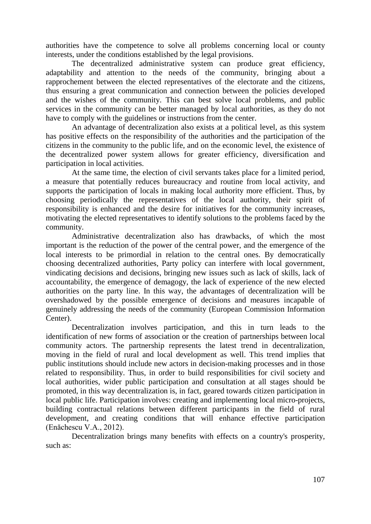authorities have the competence to solve all problems concerning local or county interests, under the conditions established by the legal provisions.

The decentralized administrative system can produce great efficiency, adaptability and attention to the needs of the community, bringing about a rapprochement between the elected representatives of the electorate and the citizens, thus ensuring a great communication and connection between the policies developed and the wishes of the community. This can best solve local problems, and public services in the community can be better managed by local authorities, as they do not have to comply with the guidelines or instructions from the center.

An advantage of decentralization also exists at a political level, as this system has positive effects on the responsibility of the authorities and the participation of the citizens in the community to the public life, and on the economic level, the existence of the decentralized power system allows for greater efficiency, diversification and participation in local activities.

At the same time, the election of civil servants takes place for a limited period, a measure that potentially reduces bureaucracy and routine from local activity, and supports the participation of locals in making local authority more efficient. Thus, by choosing periodically the representatives of the local authority, their spirit of responsibility is enhanced and the desire for initiatives for the community increases, motivating the elected representatives to identify solutions to the problems faced by the community.

Administrative decentralization also has drawbacks, of which the most important is the reduction of the power of the central power, and the emergence of the local interests to be primordial in relation to the central ones. By democratically choosing decentralized authorities, Party policy can interfere with local government, vindicating decisions and decisions, bringing new issues such as lack of skills, lack of accountability, the emergence of demagogy, the lack of experience of the new elected authorities on the party line. In this way, the advantages of decentralization will be overshadowed by the possible emergence of decisions and measures incapable of genuinely addressing the needs of the community (European Commission Information Center).

Decentralization involves participation, and this in turn leads to the identification of new forms of association or the creation of partnerships between local community actors. The partnership represents the latest trend in decentralization, moving in the field of rural and local development as well. This trend implies that public institutions should include new actors in decision-making processes and in those related to responsibility. Thus, in order to build responsibilities for civil society and local authorities, wider public participation and consultation at all stages should be promoted, in this way decentralization is, in fact, geared towards citizen participation in local public life. Participation involves: creating and implementing local micro-projects, building contractual relations between different participants in the field of rural development, and creating conditions that will enhance effective participation (Enăchescu V.A., 2012).

Decentralization brings many benefits with effects on a country's prosperity, such as: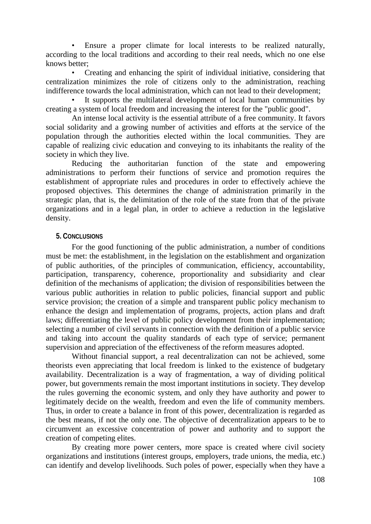• Ensure a proper climate for local interests to be realized naturally, according to the local traditions and according to their real needs, which no one else knows better;

• Creating and enhancing the spirit of individual initiative, considering that centralization minimizes the role of citizens only to the administration, reaching indifference towards the local administration, which can not lead to their development;

It supports the multilateral development of local human communities by creating a system of local freedom and increasing the interest for the "public good".

An intense local activity is the essential attribute of a free community. It favors social solidarity and a growing number of activities and efforts at the service of the population through the authorities elected within the local communities. They are capable of realizing civic education and conveying to its inhabitants the reality of the society in which they live.

Reducing the authoritarian function of the state and empowering administrations to perform their functions of service and promotion requires the establishment of appropriate rules and procedures in order to effectively achieve the proposed objectives. This determines the change of administration primarily in the strategic plan, that is, the delimitation of the role of the state from that of the private organizations and in a legal plan, in order to achieve a reduction in the legislative density.

## **5. CONCLUSIONS**

For the good functioning of the public administration, a number of conditions must be met: the establishment, in the legislation on the establishment and organization of public authorities, of the principles of communication, efficiency, accountability, participation, transparency, coherence, proportionality and subsidiarity and clear definition of the mechanisms of application; the division of responsibilities between the various public authorities in relation to public policies, financial support and public service provision; the creation of a simple and transparent public policy mechanism to enhance the design and implementation of programs, projects, action plans and draft laws; differentiating the level of public policy development from their implementation; selecting a number of civil servants in connection with the definition of a public service and taking into account the quality standards of each type of service; permanent supervision and appreciation of the effectiveness of the reform measures adopted.

Without financial support, a real decentralization can not be achieved, some theorists even appreciating that local freedom is linked to the existence of budgetary availability. Decentralization is a way of fragmentation, a way of dividing political power, but governments remain the most important institutions in society. They develop the rules governing the economic system, and only they have authority and power to legitimately decide on the wealth, freedom and even the life of community members. Thus, in order to create a balance in front of this power, decentralization is regarded as the best means, if not the only one. The objective of decentralization appears to be to circumvent an excessive concentration of power and authority and to support the creation of competing elites.

By creating more power centers, more space is created where civil society organizations and institutions (interest groups, employers, trade unions, the media, etc.) can identify and develop livelihoods. Such poles of power, especially when they have a